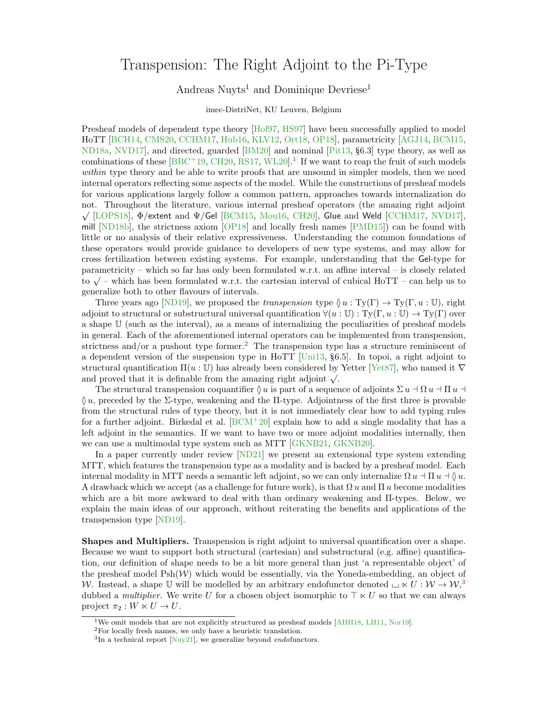## Transpension: The Right Adjoint to the Pi-Type

## Andreas Nuyts<sup>1</sup> and Dominique Devriese<sup>1</sup>

## imec-DistriNet, KU Leuven, Belgium

Presheaf models of dependent type theory [\[Hof97,](#page-2-0) [HS97\]](#page-2-1) have been successfully applied to model HoTT [\[BCH14,](#page-2-2) [CMS20,](#page-2-3) [CCHM17,](#page-2-4) [Hub16,](#page-2-5) [KLV12,](#page-2-6) [Ort18,](#page-3-0) [OP18\]](#page-3-1), parametricity [\[AGJ14,](#page-2-7) [BCM15,](#page-2-8) [ND18a,](#page-3-2) [NVD17\]](#page-3-3), and directed, guarded [\[BM20\]](#page-2-9) and nominal [\[Pit13,](#page-3-4) §6.3] type theory, as well as combinations of these  $[BBC + 19, CH20, RS17, WL20].$  $[BBC + 19, CH20, RS17, WL20].$  $[BBC + 19, CH20, RS17, WL20].$  $[BBC + 19, CH20, RS17, WL20].$  $[BBC + 19, CH20, RS17, WL20].$  $[BBC + 19, CH20, RS17, WL20].$  $[BBC + 19, CH20, RS17, WL20].$ <sup>[1](#page-0-0)</sup> If we want to reap the fruit of such models within type theory and be able to write proofs that are unsound in simpler models, then we need internal operators reflecting some aspects of the model. While the constructions of presheaf models for various applications largely follow a common pattern, approaches towards internalization do not. Throughout the literature, various internal presheaf operators (the amazing right adjoint<br>√√∑OPC10! J√ ∴ ∴ LEONIZ JLEONIZ JLEONIZ OVER LA COURANTE LITERATURE  $\sqrt{}$  [\[LOPS18\]](#page-3-7), Φ/extent and Ψ/Gel [\[BCM15,](#page-2-8) [Mou16,](#page-3-8) [CH20\]](#page-2-11), Glue and Weld [\[CCHM17,](#page-2-4) [NVD17\]](#page-3-3), mill [\[ND18b\]](#page-3-9), the strictness axiom [\[OP18\]](#page-3-1) and locally fresh names [\[PMD15\]](#page-3-10)) can be found with little or no analysis of their relative expressiveness. Understanding the common foundations of these operators would provide guidance to developers of new type systems, and may allow for cross fertilization between existing systems. For example, understanding that the Gel-type for parametricity – which so far has only been formulated w.r.t. an affine interval – is closely related parametricity – which so far has only been formulated w.r.t. an almost metrical – is closely related<br>to  $\sqrt{\phantom{a}}$  – which has been formulated w.r.t. the cartesian interval of cubical HoTT – can help us to generalize both to other flavours of intervals.

Three years ago [\[ND19\]](#page-3-11), we proposed the *transpension* type  $\check{U}u : Ty(\Gamma) \to Ty(\Gamma, u : \mathbb{U})$ , right adjoint to structural or substructural universal quantification  $\forall (u : \mathbb{U}) : \mathrm{Ty}(\Gamma, u : \mathbb{U}) \to \mathrm{Ty}(\Gamma)$  over a shape U (such as the interval), as a means of internalizing the peculiarities of presheaf models in general. Each of the aforementioned internal operators can be implemented from transpension, strictness and/or a pushout type former.<sup>[2](#page-0-1)</sup> The transpension type has a structure reminiscent of a dependent version of the suspension type in HoTT [\[Uni13,](#page-3-12) §6.5]. In topoi, a right adjoint to structural quantification  $\Pi(u: \mathbb{U})$  has already been considered by Yetter [\[Yet87\]](#page-3-13), who named it  $\nabla$ structural quantineation  $\Pi(u : \mathbb{U})$  has already been considered by and proved that it is definable from the amazing right adjoint  $\sqrt{\cdot}$ .

The structural transpension coquantifier  $\delta u$  is part of a sequence of adjoints  $\Sigma u \d\Omega u \d\Pi u$  $\delta u$ , preceded by the Σ-type, weakening and the Π-type. Adjointness of the first three is provable from the structural rules of type theory, but it is not immediately clear how to add typing rules for a further adjoint. Birkedal et al.  $[BCM^+20]$  explain how to add a single modality that has a left adjoint in the semantics. If we want to have two or more adjoint modalities internally, then we can use a multimodal type system such as MTT [\[GKNB21,](#page-2-13) [GKNB20\]](#page-2-14).

In a paper currently under review [\[ND21\]](#page-3-14) we present an extensional type system extending MTT, which features the transpension type as a modality and is backed by a presheaf model. Each internal modality in MTT needs a semantic left adjoint, so we can only internalize  $\Omega u \d\Pi u \d\tilde{u}$ . A drawback which we accept (as a challenge for future work), is that  $\Omega u$  and  $\Pi u$  become modalities which are a bit more awkward to deal with than ordinary weakening and Π-types. Below, we explain the main ideas of our approach, without reiterating the benefits and applications of the transpension type [\[ND19\]](#page-3-11).

Shapes and Multipliers. Transpension is right adjoint to universal quantification over a shape. Because we want to support both structural (cartesian) and substructural (e.g. affine) quantification, our definition of shape needs to be a bit more general than just 'a representable object' of the presheaf model  $P\text{sh}(\mathcal{W})$  which would be essentially, via the Yoneda-embedding, an object of W. Instead, a shape U will be modelled by an arbitrary endofunctor denoted  $\Box \ltimes U : W \to W$ , dubbed a *multiplier*. We write U for a chosen object isomorphic to  $\top \ltimes U$  so that we can always project  $\pi_2 : W \ltimes U \to U$ .

<span id="page-0-0"></span><sup>&</sup>lt;sup>1</sup>We omit models that are not explicitly structured as presheaf models [\[AHH18,](#page-2-15) [LH11,](#page-2-16) [Nor19\]](#page-3-15).

<span id="page-0-1"></span> $^2\rm{For}$  locally fresh names, we only have a heuristic translation.

<span id="page-0-2"></span> ${}^{3}$ In a technical report [\[Nuy21\]](#page-3-16), we generalize beyond *endofunctors*.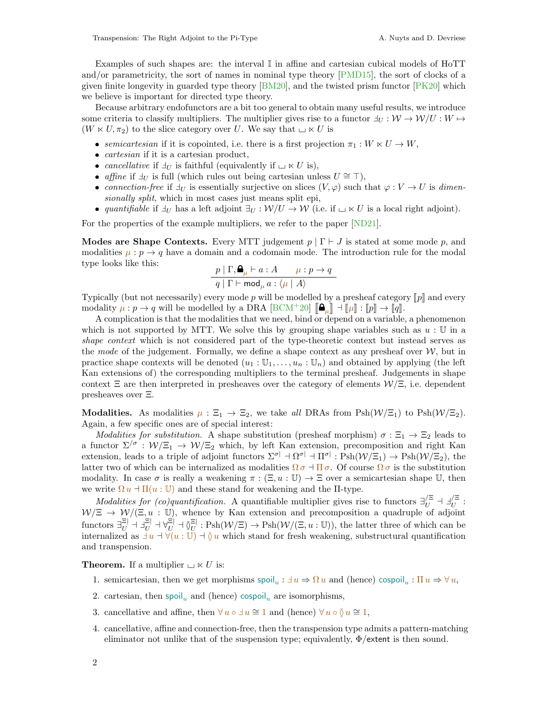Examples of such shapes are: the interval I in affine and cartesian cubical models of HoTT and/or parametricity, the sort of names in nominal type theory [\[PMD15\]](#page-3-10), the sort of clocks of a given finite longevity in guarded type theory  $[BM20]$ , and the twisted prism functor  $[PK20]$  which we believe is important for directed type theory.

Because arbitrary endofunctors are a bit too general to obtain many useful results, we introduce some criteria to classify multipliers. The multiplier gives rise to a functor  $\exists_U : \mathcal{W} \to \mathcal{W}/U : W \mapsto$  $(W \ltimes U, \pi_2)$  to the slice category over U. We say that  $\Box \ltimes U$  is

- semicartesian if it is copointed, i.e. there is a first projection  $\pi_1 : W \ltimes U \to W$ ,
- $\bullet$  *cartesian* if it is a cartesian product,
- cancellative if  $\exists_U$  is faithful (equivalently if  $\Box \ltimes U$  is),
- affine if  $\exists_U$  is full (which rules out being cartesian unless  $U \cong \top$ ),
- connection-free if  $\exists_U$  is essentially surjective on slices  $(V, \varphi)$  such that  $\varphi : V \to U$  is dimensionally split, which in most cases just means split epi,
- quantifiable if  $\exists_U$  has a left adjoint  $\exists_U : \mathcal{W}/U \to \mathcal{W}$  (i.e. if  $\Box \ltimes U$  is a local right adjoint).

For the properties of the example multipliers, we refer to the paper [\[ND21\]](#page-3-14).

**Modes are Shape Contexts.** Every MTT judgement  $p | \Gamma \vdash J$  is stated at some mode p, and modalities  $\mu : p \to q$  have a domain and a codomain mode. The introduction rule for the modal type looks like this:

$$
\frac{p \mid \Gamma, \mathbf{Q}_{\mu} \vdash a : A \qquad \mu : p \to q}{q \mid \Gamma \vdash \mathsf{mod}_{\mu} a : \langle \mu \mid A \rangle}
$$

Typically (but not necessarily) every mode p will be modelled by a presheaf category  $[\![p]\!]$  and every modality  $\mu : p \to q$  will be modelled by a DRA  $[BCM^+20]$   $[\mathbf{A}_{\mu}] \to [\![\mu]\!] : [\![p]\!] \to [\![q]\!]$ .<br>A complication is that the modelities that we need, bind or depend on a variable

A complication is that the modalities that we need, bind or depend on a variable, a phenomenon which is not supported by MTT. We solve this by grouping shape variables such as  $u : \mathbb{U}$  in a shape context which is not considered part of the type-theoretic context but instead serves as the mode of the judgement. Formally, we define a shape context as any presheaf over  $W$ , but in practice shape contexts will be denoted  $(u_1 : \mathbb{U}_1, \ldots, u_n : \mathbb{U}_n)$  and obtained by applying (the left Kan extensions of) the corresponding multipliers to the terminal presheaf. Judgements in shape context  $\Xi$  are then interpreted in presheaves over the category of elements  $\mathcal{W}/\Xi$ , i.e. dependent presheaves over Ξ.

**Modalities.** As modalities  $\mu : \Xi_1 \to \Xi_2$ , we take all DRAs from Psh $(\mathcal{W}/\Xi_1)$  to Psh $(\mathcal{W}/\Xi_2)$ . Again, a few specific ones are of special interest:

Modalities for substitution. A shape substitution (presheaf morphism)  $\sigma : \Xi_1 \to \Xi_2$  leads to a functor  $\Sigma^{/\sigma}$  :  $W/\Xi_1 \to W/\Xi_2$  which, by left Kan extension, precomposition and right Kan extension, leads to a triple of adjoint functors  $\Sigma^{\sigma}$   $\vdash \Omega^{\sigma}$   $\vdash \Pi^{\sigma}$  :  $\text{Psh}(\mathcal{W}/\Xi_1) \to \text{Psh}(\mathcal{W}/\Xi_2)$ , the latter two of which can be internalized as modalities  $\Omega \sigma \Pi \sigma$ . Of course  $\Omega \sigma$  is the substitution modality. In case  $\sigma$  is really a weakening  $\pi : (\Xi, u : \mathbb{U}) \to \Xi$  over a semicartesian shape U, then we write  $\Omega u \dashv \Pi(u : \mathbb{U})$  and these stand for weakening and the  $\Pi$ -type.

Modalities for (co)quantification. A quantifiable multiplier gives rise to functors  $\exists_U^{Z}$   $\exists_U^{Z}$  $\overline{U}^{\Xi}$  :  $W/\Xi \rightarrow W/(\Xi, u \,:\, \overline{U})$ , whence by Kan extension and precomposition a quadruple of adjoint functors  $\exists_U^{\Xi|} \dashv \exists_U^{\Xi|} \dashv \forall_U^{\Xi|} \dashv \S_U^{\Xi|}$  $\frac{\Xi}{U}$ : Psh( $\mathcal{W}/\Xi$ )  $\rightarrow$  Psh( $\mathcal{W}/(\Xi, u : \mathbb{U})$ ), the latter three of which can be internalized as  $\exists u \exists (u \in \mathbb{U}) \exists (u \text{ which stand for fresh weakening, subtractural quantification})$ and transpension.

**Theorem.** If a multiplier  $\sqcup \ltimes U$  is:

- 1. semicartesian, then we get morphisms  $\text{spoil}_u : \exists u \Rightarrow \Omega u$  and (hence)  $\text{cospoli}_u : \Pi u \Rightarrow \forall u$ ,
- 2. cartesian, then spoil<sub>u</sub> and (hence) cospoil<sub>u</sub> are isomorphisms,
- 3. cancellative and affine, then  $\forall u \circ \exists u \cong 1$  and (hence)  $\forall u \circ \delta u \cong 1$ ,
- 4. cancellative, affine and connection-free, then the transpension type admits a pattern-matching eliminator not unlike that of the suspension type; equivalently,  $\Phi$ /extent is then sound.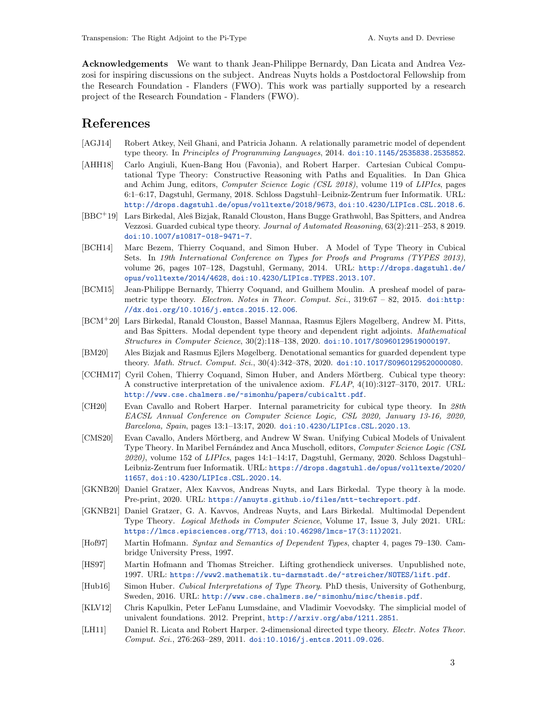Acknowledgements We want to thank Jean-Philippe Bernardy, Dan Licata and Andrea Vezzosi for inspiring discussions on the subject. Andreas Nuyts holds a Postdoctoral Fellowship from the Research Foundation - Flanders (FWO). This work was partially supported by a research project of the Research Foundation - Flanders (FWO).

## References

- <span id="page-2-7"></span>[AGJ14] Robert Atkey, Neil Ghani, and Patricia Johann. A relationally parametric model of dependent type theory. In Principles of Programming Languages, 2014. [doi:10.1145/2535838.2535852](https://doi.org/10.1145/2535838.2535852).
- <span id="page-2-15"></span>[AHH18] Carlo Angiuli, Kuen-Bang Hou (Favonia), and Robert Harper. Cartesian Cubical Computational Type Theory: Constructive Reasoning with Paths and Equalities. In Dan Ghica and Achim Jung, editors, Computer Science Logic (CSL 2018), volume 119 of LIPIcs, pages 6:1–6:17, Dagstuhl, Germany, 2018. Schloss Dagstuhl–Leibniz-Zentrum fuer Informatik. URL: <http://drops.dagstuhl.de/opus/volltexte/2018/9673>, [doi:10.4230/LIPIcs.CSL.2018.6](https://doi.org/10.4230/LIPIcs.CSL.2018.6).
- <span id="page-2-10"></span>[BBC<sup>+</sup>19] Lars Birkedal, Aleš Bizjak, Ranald Clouston, Hans Bugge Grathwohl, Bas Spitters, and Andrea Vezzosi. Guarded cubical type theory. Journal of Automated Reasoning, 63(2):211–253, 8 2019. [doi:10.1007/s10817-018-9471-7](https://doi.org/10.1007/s10817-018-9471-7).
- <span id="page-2-2"></span>[BCH14] Marc Bezem, Thierry Coquand, and Simon Huber. A Model of Type Theory in Cubical Sets. In 19th International Conference on Types for Proofs and Programs (TYPES 2013), volume 26, pages 107–128, Dagstuhl, Germany, 2014. URL: [http://drops.dagstuhl.de/](http://drops.dagstuhl.de/opus/volltexte/2014/4628) [opus/volltexte/2014/4628](http://drops.dagstuhl.de/opus/volltexte/2014/4628), [doi:10.4230/LIPIcs.TYPES.2013.107](https://doi.org/10.4230/LIPIcs.TYPES.2013.107).
- <span id="page-2-8"></span>[BCM15] Jean-Philippe Bernardy, Thierry Coquand, and Guilhem Moulin. A presheaf model of parametric type theory. Electron. Notes in Theor. Comput. Sci.,  $319.67 - 82$ ,  $2015$ . [doi:http:](https://doi.org/http://dx.doi.org/10.1016/j.entcs.2015.12.006) [//dx.doi.org/10.1016/j.entcs.2015.12.006](https://doi.org/http://dx.doi.org/10.1016/j.entcs.2015.12.006).
- <span id="page-2-12"></span>[BCM<sup>+</sup>20] Lars Birkedal, Ranald Clouston, Bassel Mannaa, Rasmus Ejlers Møgelberg, Andrew M. Pitts, and Bas Spitters. Modal dependent type theory and dependent right adjoints. Mathematical Structures in Computer Science, 30(2):118–138, 2020. [doi:10.1017/S0960129519000197](https://doi.org/10.1017/S0960129519000197).
- <span id="page-2-9"></span>[BM20] Ales Bizjak and Rasmus Ejlers Møgelberg. Denotational semantics for guarded dependent type theory. Math. Struct. Comput. Sci., 30(4):342–378, 2020. [doi:10.1017/S0960129520000080](https://doi.org/10.1017/S0960129520000080).
- <span id="page-2-4"></span>[CCHM17] Cyril Cohen, Thierry Coquand, Simon Huber, and Anders Mörtberg. Cubical type theory: A constructive interpretation of the univalence axiom. FLAP, 4(10):3127–3170, 2017. URL: <http://www.cse.chalmers.se/~simonhu/papers/cubicaltt.pdf>.
- <span id="page-2-11"></span>[CH20] Evan Cavallo and Robert Harper. Internal parametricity for cubical type theory. In 28th EACSL Annual Conference on Computer Science Logic, CSL 2020, January 13-16, 2020, Barcelona, Spain, pages 13:1–13:17, 2020. [doi:10.4230/LIPIcs.CSL.2020.13](https://doi.org/10.4230/LIPIcs.CSL.2020.13).
- <span id="page-2-3"></span>[CMS20] Evan Cavallo, Anders Mörtberg, and Andrew W Swan. Unifying Cubical Models of Univalent Type Theory. In Maribel Fernández and Anca Muscholl, editors, Computer Science Logic (CSL  $2020$ , volume 152 of *LIPIcs*, pages 14:1-14:17, Dagstuhl, Germany, 2020. Schloss Dagstuhl-Leibniz-Zentrum fuer Informatik. URL: [https://drops.dagstuhl.de/opus/volltexte/2020/](https://drops.dagstuhl.de/opus/volltexte/2020/11657) [11657](https://drops.dagstuhl.de/opus/volltexte/2020/11657), [doi:10.4230/LIPIcs.CSL.2020.14](https://doi.org/10.4230/LIPIcs.CSL.2020.14).
- <span id="page-2-14"></span>[GKNB20] Daniel Gratzer, Alex Kavvos, Andreas Nuyts, and Lars Birkedal. Type theory à la mode. Pre-print, 2020. URL: <https://anuyts.github.io/files/mtt-techreport.pdf>.
- <span id="page-2-13"></span>[GKNB21] Daniel Gratzer, G. A. Kavvos, Andreas Nuyts, and Lars Birkedal. Multimodal Dependent Type Theory. Logical Methods in Computer Science, Volume 17, Issue 3, July 2021. URL: <https://lmcs.episciences.org/7713>, [doi:10.46298/lmcs-17\(3:11\)2021](https://doi.org/10.46298/lmcs-17(3:11)2021).
- <span id="page-2-0"></span>[Hof97] Martin Hofmann. Syntax and Semantics of Dependent Types, chapter 4, pages 79–130. Cambridge University Press, 1997.
- <span id="page-2-1"></span>[HS97] Martin Hofmann and Thomas Streicher. Lifting grothendieck universes. Unpublished note, 1997. URL: <https://www2.mathematik.tu-darmstadt.de/~streicher/NOTES/lift.pdf>.
- <span id="page-2-5"></span>[Hub16] Simon Huber. Cubical Interpretations of Type Theory. PhD thesis, University of Gothenburg, Sweden, 2016. URL: <http://www.cse.chalmers.se/~simonhu/misc/thesis.pdf>.
- <span id="page-2-6"></span>[KLV12] Chris Kapulkin, Peter LeFanu Lumsdaine, and Vladimir Voevodsky. The simplicial model of univalent foundations. 2012. Preprint, <http://arxiv.org/abs/1211.2851>.
- <span id="page-2-16"></span>[LH11] Daniel R. Licata and Robert Harper. 2-dimensional directed type theory. Electr. Notes Theor. Comput. Sci., 276:263–289, 2011. [doi:10.1016/j.entcs.2011.09.026](https://doi.org/10.1016/j.entcs.2011.09.026).